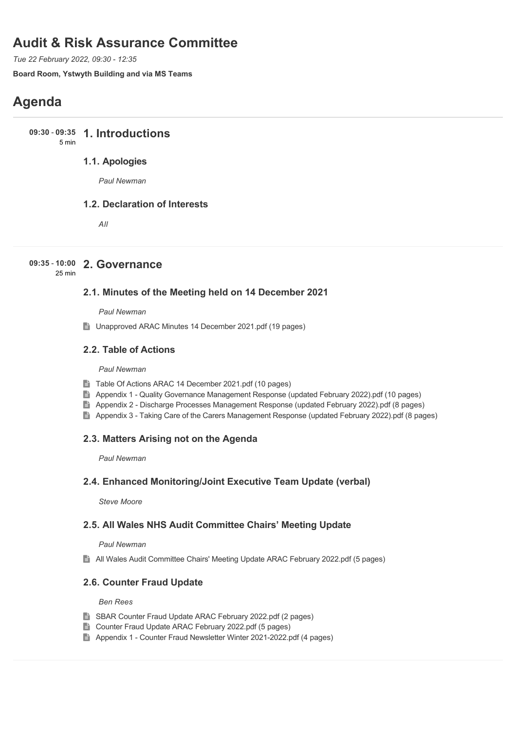# **Audit & Risk Assurance Committee**

*Tue 22 February 2022, 09:30 - 12:35*

**Board Room, Ystwyth Building and via MS Teams**

# **Agenda**

**1. Introductions 09:30** - **09:35**

# 5 min

## **1.1. Apologies**

*Paul Newman*

## **1.2. Declaration of Interests**

*All*

# **2. Governance 09:35** - **10:00**

25 min

## **2.1. Minutes of the Meeting held on 14 December 2021**

*Paul Newman*

■ Unapproved ARAC Minutes 14 December 2021.pdf (19 pages)

## **2.2. Table of Actions**

#### *Paul Newman*

- Table Of Actions ARAC 14 December 2021.pdf (10 pages)
- Appendix 1 Quality Governance Management Response (updated February 2022).pdf (10 pages)
- Appendix 2 Discharge Processes Management Response (updated February 2022).pdf (8 pages)
- Appendix 3 Taking Care of the Carers Management Response (updated February 2022).pdf (8 pages)

## **2.3. Matters Arising not on the Agenda**

*Paul Newman*

## **2.4. Enhanced Monitoring/Joint Executive Team Update (verbal)**

*Steve Moore*

## **2.5. All Wales NHS Audit Committee Chairs' Meeting Update**

### *Paul Newman*

All Wales Audit Committee Chairs' Meeting Update ARAC February 2022.pdf (5 pages)

## **2.6. Counter Fraud Update**

#### *Ben Rees*

- SBAR Counter Fraud Update ARAC February 2022.pdf (2 pages)
- Counter Fraud Update ARAC February 2022.pdf (5 pages)
- Appendix 1 Counter Fraud Newsletter Winter 2021-2022.pdf (4 pages)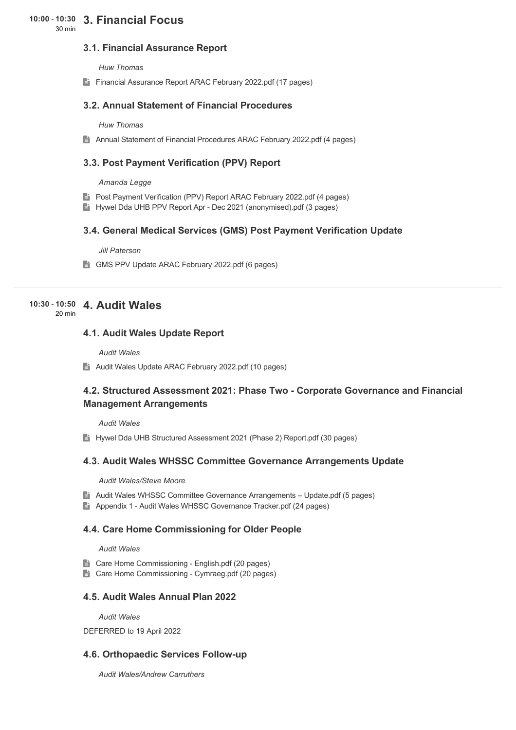# **3. Financial Focus 10:00** - **10:30**

30 min

## **3.1. Financial Assurance Report**

*Huw Thomas*

Financial Assurance Report ARAC February 2022.pdf (17 pages)

## **3.2. Annual Statement of Financial Procedures**

#### *Huw Thomas*

Annual Statement of Financial Procedures ARAC February 2022.pdf (4 pages)

## **3.3. Post Payment Verification (PPV) Report**

#### *Amanda Legge*

- **E** Post Payment Verification (PPV) Report ARAC February 2022.pdf (4 pages)
- **H** Hywel Dda UHB PPV Report Apr Dec 2021 (anonymised).pdf (3 pages)

### **3.4. General Medical Services (GMS) Post Payment Verification Update**

#### *Jill Paterson*

GMS PPV Update ARAC February 2022.pdf (6 pages)

#### **4. Audit Wales 10:30** - **10:50** 20 min

#### **4.1. Audit Wales Update Report**

*Audit Wales*

Audit Wales Update ARAC February 2022.pdf (10 pages)

## **4.2. Structured Assessment 2021: Phase Two - Corporate Governance and Financial Management Arrangements**

*Audit Wales*

**Hywel Dda UHB Structured Assessment 2021 (Phase 2) Report.pdf (30 pages)** 

### **4.3. Audit Wales WHSSC Committee Governance Arrangements Update**

#### *Audit Wales/Steve Moore*

- Audit Wales WHSSC Committee Governance Arrangements Update.pdf (5 pages)
- Appendix 1 Audit Wales WHSSC Governance Tracker.pdf (24 pages)

### **4.4. Care Home Commissioning for Older People**

#### *Audit Wales*

- Care Home Commissioning English.pdf (20 pages)
- Care Home Commissioning Cymraeg.pdf (20 pages)

## **4.5. Audit Wales Annual Plan 2022**

*Audit Wales*

DEFERRED to 19 April 2022

### **4.6. Orthopaedic Services Follow-up**

*Audit Wales/Andrew Carruthers*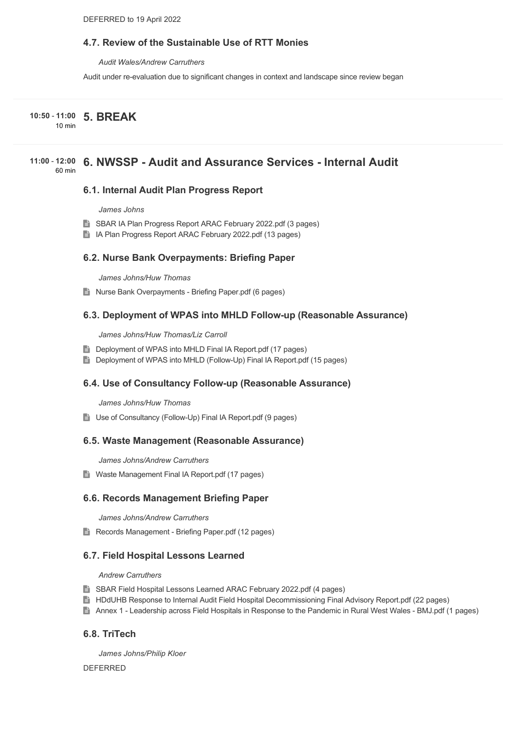## **4.7. Review of the Sustainable Use of RTT Monies**

*Audit Wales/Andrew Carruthers*

Audit under re-evaluation due to significant changes in context and landscape since review began

**5. BREAK 10:50** - **11:00**

10 min

#### **6. NWSSP - Audit and Assurance Services - Internal Audit 11:00** - **12:00** 60 min

#### **6.1. Internal Audit Plan Progress Report**

*James Johns*

- **SBAR IA Plan Progress Report ARAC February 2022.pdf (3 pages)**
- In IA Plan Progress Report ARAC February 2022.pdf (13 pages)

#### **6.2. Nurse Bank Overpayments: Briefing Paper**

*James Johns/Huw Thomas*

**■ Nurse Bank Overpayments - Briefing Paper.pdf (6 pages)** 

#### **6.3. Deployment of WPAS into MHLD Follow-up (Reasonable Assurance)**

*James Johns/Huw Thomas/Liz Carroll*

- Deployment of WPAS into MHLD Final IA Report.pdf (17 pages)
- Deployment of WPAS into MHLD (Follow-Up) Final IA Report.pdf (15 pages)

### **6.4. Use of Consultancy Follow-up (Reasonable Assurance)**

*James Johns/Huw Thomas*

■ Use of Consultancy (Follow-Up) Final IA Report.pdf (9 pages)

#### **6.5. Waste Management (Reasonable Assurance)**

*James Johns/Andrew Carruthers*

Waste Management Final IA Report.pdf (17 pages)

### **6.6. Records Management Briefing Paper**

*James Johns/Andrew Carruthers*

Records Management - Briefing Paper.pdf (12 pages)

#### **6.7. Field Hospital Lessons Learned**

#### *Andrew Carruthers*

- **B** SBAR Field Hospital Lessons Learned ARAC February 2022.pdf (4 pages)
- HDdUHB Response to Internal Audit Field Hospital Decommissioning Final Advisory Report.pdf (22 pages)
- Annex 1 Leadership across Field Hospitals in Response to the Pandemic in Rural West Wales BMJ.pdf (1 pages)

### **6.8. TriTech**

*James Johns/Philip Kloer*

DEFERRED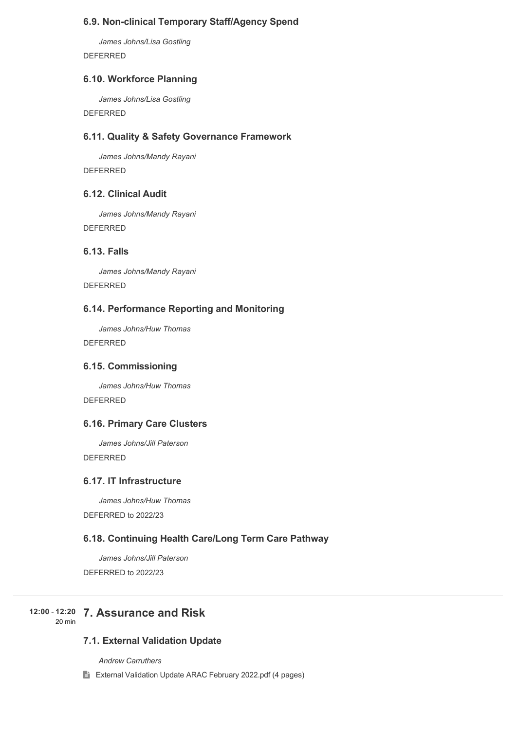## **6.9. Non-clinical Temporary Staff/Agency Spend**

*James Johns/Lisa Gostling* DEFERRED

## **6.10. Workforce Planning**

*James Johns/Lisa Gostling*

DEFERRED

### **6.11. Quality & Safety Governance Framework**

*James Johns/Mandy Rayani* DEFERRED

## **6.12. Clinical Audit**

*James Johns/Mandy Rayani* DEFERRED

## **6.13. Falls**

*James Johns/Mandy Rayani* DEFERRED

## **6.14. Performance Reporting and Monitoring**

*James Johns/Huw Thomas* DEFERRED

### **6.15. Commissioning**

*James Johns/Huw Thomas* DEFERRED

## **6.16. Primary Care Clusters**

*James Johns/Jill Paterson*

DEFERRED

# **6.17. IT Infrastructure**

*James Johns/Huw Thomas* DEFERRED to 2022/23

## **6.18. Continuing Health Care/Long Term Care Pathway**

*James Johns/Jill Paterson* DEFERRED to 2022/23

#### **7. Assurance and Risk 12:00** - **12:20** 20 min

## **7.1. External Validation Update**

*Andrew Carruthers*

E External Validation Update ARAC February 2022.pdf (4 pages)